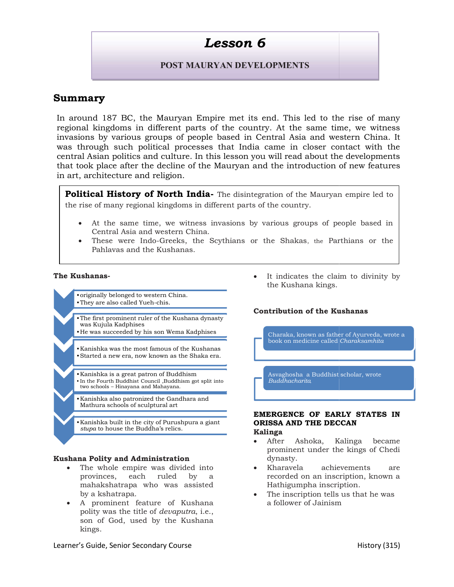# Lesson 6

### POST MAURYAN DEVELOPMENTS

## Summary

In around 187 BC, the Mauryan Empire met its end. This led to the rise of many regional kingdoms in different parts of the country. At the same time, we witness In around 187 BC, the Mauryan Empire met its end. This led to the rise of many<br>regional kingdoms in different parts of the country. At the same time, we witness<br>invasions by various groups of people based in Central Asia a was through such political processes that India came in closer contact with the central Asian politics and culture. In this lesson you will read about the developments was through such political processes that India came in closer contact with the<br>central Asian politics and culture. In this lesson you will read about the developments<br>that took place after the decline of the Mauryan and t in art, architecture and religion.

Political History of North India- The disintegration of the Mauryan the rise of many regional kingdoms in different parts of the country.

- rise of many regional kingdoms in different parts of the country.<br>• At the same time, we witness invasions by various groups of people based in Central Asia and western China.
- These were Indo-Greeks, the Scythians or the Shakas, the Parthians or the Pahlavas and the Kushanas.

#### The Kushanas-

- •originally belonged to western China.<br>•They are also called Yueh-chis. •They are also called Yueh-chis.
- •The first prominent ruler of the Kushana dynasty was Kujula Kadphises
- 
- •Kanishka was the most famous of the Kushanas •Started a new era, now known as the Shaka era. The first prominent ruler of the Kushana dynasty<br>was Kujula Kadphises<br>He was succeeded by his son Wema Kadphises<br>Kanishka was the most famous of the Kushanas<br>Started a new era, now known as the Shaka era.
- •Kanishka is a great patron of Buddhism • Kanishka is a great patron of Buddhism variation and all alway have a series of a series of the Fourth Buddhacha
- two schools Hinayana and Mahayana. •Kanishka also patronized the Gandhara and Kanishka Mathura schools of sculptural art
- •Kanishka built in the city of Purushpura a giant stupa to house the Buddha's relics.

#### Kushana Polity and Administration

- The whole empire was divided into provinces, each ruled by a mahakshatrapa who was assisted by a kshatrapa. e whole empire was divided into<br>vinces, each ruled by a<br>hakshatrapa who was assisted<br>a kshatrapa.<br>prominent feature of Kushana<br>ity was the title of *devaputra*, i.e., Solution of the Kushana kings.<br>
They are siso called Vuch-chis.<br>
The Kushana kings.<br>
The first prominent ruler of the Kushana dynasty<br>
We as succeeded by his son Wema Kadphises<br>
Stankick a new rea, now known as the Shaka e
- A prominent feature of Kushana polity was the title of *devaputra*, *i.e.*, son of God, used by the Kushana kings.

the Kushana kings. It indicates the claim to divinity by

#### Contribution of the Kushanas

•He was succeeded by his son Wema Kadphises Charaka, known as father of Ayurveda, wrote a book on medicine called Charaksamhita **Contribution of the Kushanas**<br>
Charaka, known as father of Ayur<br>
book on medicine called *Charaksa*<br>
Asvaghosha a Buddhist scholar, v<br>
Buddhacharita<br> **EMERGENCE OF EARLY STAND THE DECCAN** the Mauryan empire led to<br>the empire led to<br>the empire of people based in<br>the skas, the Parthians or the<br>dates the claim to divinity b<br>hana kings.<br>**Dn of the Kushanas**<br>known as father of Ayurveda, wrote<br>medicine called *Ch* 

Asvaghosha a Buddhist scholar, wrote Buddhacharita,

# EMERGENCE OF EARLY STATES IN ORISSA AND THE DECCAN Examishka was the most famous of the Kushanas<br>
Started a new era, now known as the Shaka era.<br>
Manishka is a great patron of Buddhism<br>
In the Fourth Buddhist Council, Buddhashang at split into<br>
International Buddhashang an

### Kalinga

- After Ashoka, Kalinga became prominent under the kings of Chedi dynasty.
- Kharavela achievements are recorded on an inscription, known a Hathigumpha inscription prominent under the kings of Chedi<br>dynasty.<br>Kharavela achievements are<br>recorded on an inscription, known a<br>Hathigumpha inscription. Charaka, known as father of Ayuveda, wrote a<br>book on medicine called Charaksamhita<br>Asvaghosha a Buddhist scholar, wrote<br>Buddhacharita<br>**ERGENCE OF EARLY STATES IN**<br>**SSA AND THE DECCAN**<br>**ninga**<br>After Ashoka, Kalinga became<br>p
- The inscription tells us that he was a follower of Jainism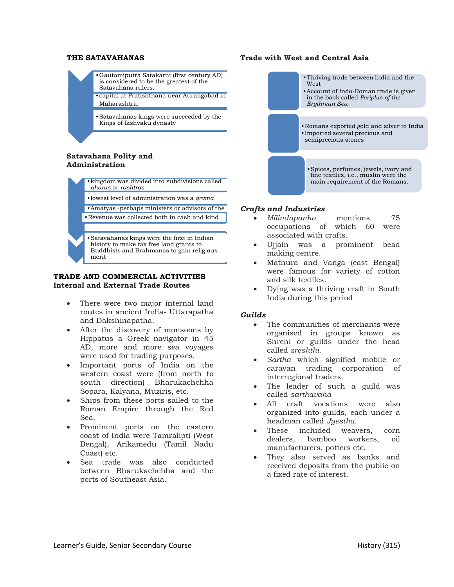#### THE SATAVAHANAS

- •Gautamiputra Satakarni (first century AD) is considered to be the greatest of the Satavahana rulers.
- •capital at Pratishthana near Aurangabad in Maharashtra.
- •Satavahanas kings were succeeded by the Kings of lkshvaku dynasty

#### Satavahana Polity and Administration

- •kingdom was divided into subdivisions called aharas or rashtras
	- •lowest level of administration was a *grama*
	- •Amatyas -perhaps ministers or advisors of the

 $\bullet$  Revenue was collected both in cash and kind  $\bullet$  *Milindapanho* mentions

•Satavahanas kings were the first in Indian history to make tax free land grants to Buddhists and Brahmanas to gain religious merit

#### TRADE AND COMMERCIAL ACTIVITIES TRADE AND COMMERCIAL ACTIVITIES<br>Internal and External Trade Routes

- There were two major internal land routes in ancient India- Uttarapatha and Dakshinapatha.
- After the discovery of monsoons by Hippatus a Greek navigator in 45 AD, more and more sea voyages were used for trading purposes.
- Important ports of India on the western coast were (from north to south direction) Bharukachchha Sopara, Kalyana, Muziris, etc.
- Ships from these ports sailed to the Roman Empire through the Red Sea.
- Prominent ports on the eastern coast of India were Tamralipti (West Bengal), Arikamedu (Tamil Nadu Coast) etc.
- Sea trade was also conducted between Bharukachchha and the ports of Southeast Asia.

# **VAHANIAS**<br>
COMMERCIAL SURGENTIFIC SCRIPTION (THE CONDUCTS AND CONDUCT CONDUCTS (THE CONDUCTS CONDUCTS CONDUCTS)<br>
THE CONDUCTS CONDUCTS (THE CONDUCTS CONDUCTS)<br>
IN A CONDUCT CONDUCT CONDUCTS (THE CONDUCTS CONDUCTS)<br>
IN A •Gautamiputra Satakarni (first century AD)<br>
is considered to be the greatest of the<br>
Satavahana rulers.<br>
•capital at Pratishthana near Aurangabad in<br>
Maharashtra.<br>
•Satavahanas kings were succeeded by the<br>
Kings of lkshvak Funivirg trade between India and the Countril State<br>
Satavahana helins.<br>
Satavahanas kings of list based of the scenario of the South of the South of the South of the South of the Satavahanas kings were succeeded by the<br>
S West •Account of Indo in the book called Periplus of the Erythrean Sea •Romans exported gold and silver to India<br>•Imported several precious and<br>semiprecious stones •Imported several precious and semiprecious stones<br>•<br>Spices, perfumes, jewels, ivory and fine textiles, i.e., muslin were the main requirement of the Romans. Thriving trade between India and the<br> **Exacultion of Indo-Roman trade is given**<br>
in the book called *lereplass of the*<br>
in the book called *lereplass of the*<br> **Engineeral** Beeren precious since<br> **Exacultion** in the import Spices,

#### Crafts and Industries

Trade with West and Central Asia

- Milindapanho mentions 75 occupations of which 60 were associated with crafts.
- Ujjain was a prominent bead making centre.
- Mathura and Vanga (east Bengal) were famous for variety of cotton and silk textiles.
- Dying was a thriving craft in South India during this period

#### Guilds

- The communities of merchants were organised in groups known as Shreni or guilds under the head called sreshthi. associated with crafts.<br>
Ujjain was a prominent bead<br>
making centre.<br>
Mathura and Vanga (east Bengal)<br>
were famous for variety of cotton<br>
and silk textiles.<br>
Dying was a thriving craft in South<br>
India during this period<br>
T
- Sartha which signified mobile or caravan trading interregional traders.
- The leader of such a guild was called sarthavaha
- All craft vocations were also All craft vocations were also<br>organized into guilds, each under a headman called *Jyestha*.
- These included weavers, corn dealers, bamboo workers, oil manufacturers, potter potters etc.
- They also served as banks and received deposits from the public on a fixed rate of interest.